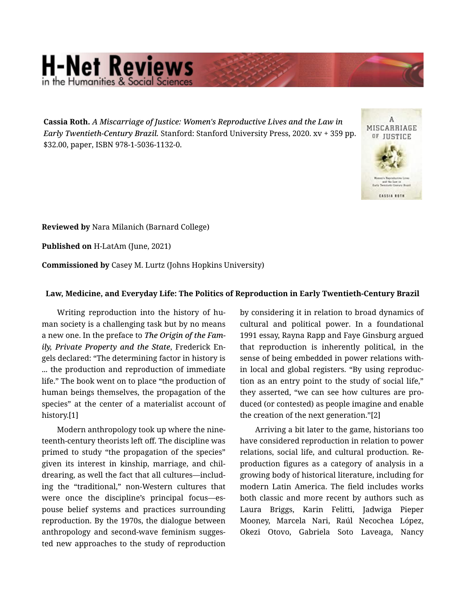## **H-Net Reviews** in the Humanities & Social S

Cassia Roth. *A Miscarriage of Justice: Women's Reproductive Lives and the Law in Early Twentieth-Century Brazil.* Stanford: Stanford University Press, 2020. xv + 359 pp. \$32.00, paper, ISBN 978-1-5036-1132-0.



Reviewed by Nara Milanich (Barnard College)

Published on H-LatAm (June, 2021)

Commissioned by Casey M. Lurtz (Johns Hopkins University)

## Law, Medicine, and Everyday Life: The Politics of Reproduction in Early Twentieth-Century Brazil

Writing reproduction into the history of human society is a challenging task but by no means a new one. In the preface to *The Origin of the Fam‐ ily, Private Property and the State*, Frederick En‐ gels declared: "The determining factor in history is ... the production and reproduction of immediate life." The book went on to place "the production of human beings themselves, the propagation of the species" at the center of a materialist account of history.[1]

Modern anthropology took up where the nine‐ teenth-century theorists left off. The discipline was primed to study "the propagation of the species" given its interest in kinship, marriage, and chil‐ drearing, as well the fact that all cultures—includ‐ ing the "traditional," non-Western cultures that were once the discipline's principal focus—es‐ pouse belief systems and practices surrounding reproduction. By the 1970s, the dialogue between anthropology and second-wave feminism sugges‐ ted new approaches to the study of reproduction

by considering it in relation to broad dynamics of cultural and political power. In a foundational 1991 essay, Rayna Rapp and Faye Ginsburg argued that reproduction is inherently political, in the sense of being embedded in power relations with‐ in local and global registers. "By using reproduc‐ tion as an entry point to the study of social life," they asserted, "we can see how cultures are pro‐ duced (or contested) as people imagine and enable the creation of the next generation."[2]

Arriving a bit later to the game, historians too have considered reproduction in relation to power relations, social life, and cultural production. Re‐ production figures as a category of analysis in a growing body of historical literature, including for modern Latin America. The field includes works both classic and more recent by authors such as Laura Briggs, Karin Felitti, Jadwiga Pieper Mooney, Marcela Nari, Raúl Necochea López, Okezi Otovo, Gabriela Soto Laveaga, Nancy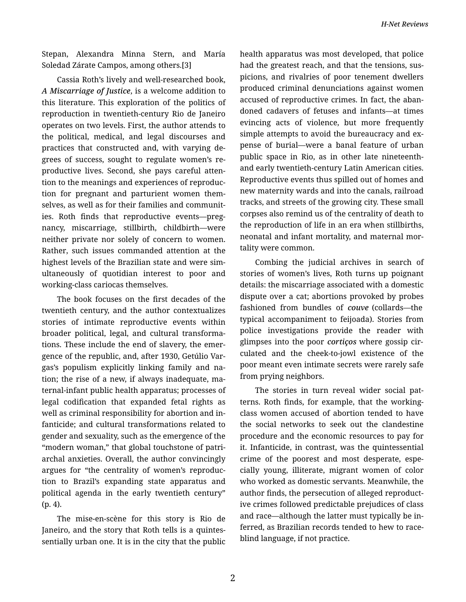Stepan, Alexandra Minna Stern, and María Soledad Zárate Campos, among others.[3]

Cassia Roth's lively and well-researched book, *A Miscarriage of Justice*, is a welcome addition to this literature. This exploration of the politics of reproduction in twentieth-century Rio de Janeiro operates on two levels. First, the author attends to the political, medical, and legal discourses and practices that constructed and, with varying de‐ grees of success, sought to regulate women's re‐ productive lives. Second, she pays careful atten‐ tion to the meanings and experiences of reproduc‐ tion for pregnant and parturient women them‐ selves, as well as for their families and communit‐ ies. Roth finds that reproductive events—preg‐ nancy, miscarriage, stillbirth, childbirth—were neither private nor solely of concern to women. Rather, such issues commanded attention at the highest levels of the Brazilian state and were sim‐ ultaneously of quotidian interest to poor and working-class cariocas themselves.

The book focuses on the first decades of the twentieth century, and the author contextualizes stories of intimate reproductive events within broader political, legal, and cultural transforma‐ tions. These include the end of slavery, the emer‐ gence of the republic, and, after 1930, Getúlio Var‐ gas's populism explicitly linking family and na‐ tion; the rise of a new, if always inadequate, ma‐ ternal-infant public health apparatus; processes of legal codification that expanded fetal rights as well as criminal responsibility for abortion and in‐ fanticide; and cultural transformations related to gender and sexuality, such as the emergence of the "modern woman," that global touchstone of patri‐ archal anxieties. Overall, the author convincingly argues for "the centrality of women's reproduc‐ tion to Brazil's expanding state apparatus and political agenda in the early twentieth century" (p. 4).

The mise-en-scène for this story is Rio de Janeiro, and the story that Roth tells is a quintes‐ sentially urban one. It is in the city that the public health apparatus was most developed, that police had the greatest reach, and that the tensions, sus‐ picions, and rivalries of poor tenement dwellers produced criminal denunciations against women accused of reproductive crimes. In fact, the aban‐ doned cadavers of fetuses and infants—at times evincing acts of violence, but more frequently simple attempts to avoid the bureaucracy and expense of burial—were a banal feature of urban public space in Rio, as in other late nineteenthand early twentieth-century Latin American cities. Reproductive events thus spilled out of homes and new maternity wards and into the canals, railroad tracks, and streets of the growing city. These small corpses also remind us of the centrality of death to the reproduction of life in an era when stillbirths, neonatal and infant mortality, and maternal mor‐ tality were common.

Combing the judicial archives in search of stories of women's lives, Roth turns up poignant details: the miscarriage associated with a domestic dispute over a cat; abortions provoked by probes fashioned from bundles of *couve* (collards—the typical accompaniment to feijoada). Stories from police investigations provide the reader with glimpses into the poor *cortiços* where gossip cir‐ culated and the cheek-to-jowl existence of the poor meant even intimate secrets were rarely safe from prying neighbors.

The stories in turn reveal wider social pat‐ terns. Roth finds, for example, that the workingclass women accused of abortion tended to have the social networks to seek out the clandestine procedure and the economic resources to pay for it. Infanticide, in contrast, was the quintessential crime of the poorest and most desperate, espe‐ cially young, illiterate, migrant women of color who worked as domestic servants. Meanwhile, the author finds, the persecution of alleged reproduct‐ ive crimes followed predictable prejudices of class and race—although the latter must typically be in‐ ferred, as Brazilian records tended to hew to raceblind language, if not practice.

2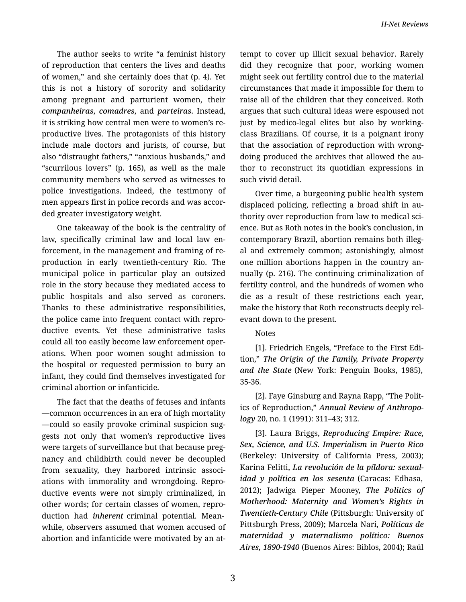The author seeks to write "a feminist history of reproduction that centers the lives and deaths of women," and she certainly does that (p. 4). Yet this is not a history of sorority and solidarity among pregnant and parturient women, their *companheiras*, *comadres*, and *parteiras*. Instead, it is striking how central men were to women's re‐ productive lives. The protagonists of this history include male doctors and jurists, of course, but also "distraught fathers," "anxious husbands," and "scurrilous lovers" (p. 165), as well as the male community members who served as witnesses to police investigations. Indeed, the testimony of men appears first in police records and was accor‐ ded greater investigatory weight.

One takeaway of the book is the centrality of law, specifically criminal law and local law enforcement, in the management and framing of re‐ production in early twentieth-century Rio. The municipal police in particular play an outsized role in the story because they mediated access to public hospitals and also served as coroners. Thanks to these administrative responsibilities, the police came into frequent contact with repro‐ ductive events. Yet these administrative tasks could all too easily become law enforcement oper‐ ations. When poor women sought admission to the hospital or requested permission to bury an infant, they could find themselves investigated for criminal abortion or infanticide.

The fact that the deaths of fetuses and infants —common occurrences in an era of high mortality —could so easily provoke criminal suspicion sug‐ gests not only that women's reproductive lives were targets of surveillance but that because preg‐ nancy and childbirth could never be decoupled from sexuality, they harbored intrinsic associations with immorality and wrongdoing. Repro‐ ductive events were not simply criminalized, in other words; for certain classes of women, repro‐ duction had *inherent* criminal potential. Mean‐ while, observers assumed that women accused of abortion and infanticide were motivated by an at‐ tempt to cover up illicit sexual behavior. Rarely did they recognize that poor, working women might seek out fertility control due to the material circumstances that made it impossible for them to raise all of the children that they conceived. Roth argues that such cultural ideas were espoused not just by medico-legal elites but also by workingclass Brazilians. Of course, it is a poignant irony that the association of reproduction with wrong‐ doing produced the archives that allowed the au‐ thor to reconstruct its quotidian expressions in such vivid detail.

Over time, a burgeoning public health system displaced policing, reflecting a broad shift in au‐ thority over reproduction from law to medical sci‐ ence. But as Roth notes in the book's conclusion, in contemporary Brazil, abortion remains both illeg‐ al and extremely common; astonishingly, almost one million abortions happen in the country an‐ nually (p. 216). The continuing criminalization of fertility control, and the hundreds of women who die as a result of these restrictions each year, make the history that Roth reconstructs deeply rel‐ evant down to the present.

## Notes

[1]. Friedrich Engels, "Preface to the First Edi‐ tion," *The Origin of the Family, Private Property and the State* (New York: Penguin Books, 1985), 35-36.

[2]. Faye Ginsburg and Rayna Rapp, "The Polit‐ ics of Reproduction," *Annual Review of Anthropo‐ logy* 20, no. 1 (1991): 311–43; 312.

[3]. Laura Briggs, *Reproducing Empire: Race, Sex, Science, and U.S. Imperialism in Puerto Rico* (Berkeley: University of California Press, 2003); Karina Felitti, *La revolución de la píldora: sexual‐ idad y política en los sesenta* (Caracas: Edhasa, 2012); Jadwiga Pieper Mooney, *The Politics of Motherhood: Maternity and Women's Rights in Twentieth-Century Chile* (Pittsburgh: University of Pittsburgh Press, 2009); Marcela Nari, *Políticas de maternidad y maternalismo político: Buenos Aires, 1890-1940* (Buenos Aires: Biblos, 2004); Raúl